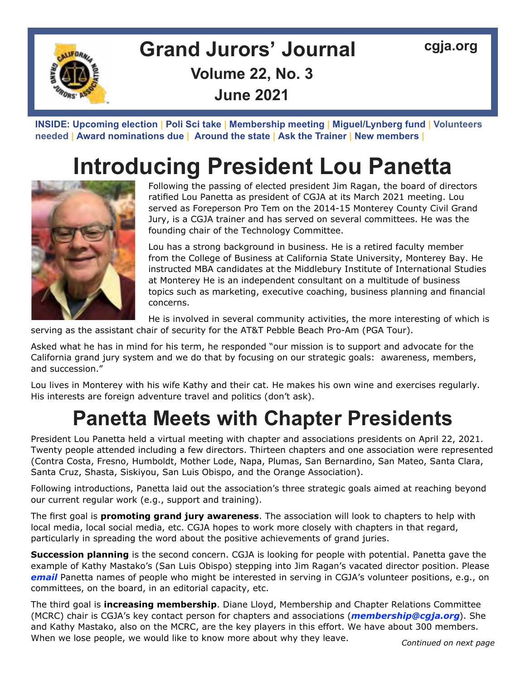

### **Grand Jurors' Journal [cgja.org](http://cgja.org) Volume 22, No. 3 June 2021**

**INSIDE: [Upcoming election](#page-2-0) | [Poli Sci take](#page-3-0) | [Membership meeting](#page-3-0) | [Miguel/Lynberg fund](#page-4-0) | [Volunteers](#page-5-0)  needed | [Award nominations due](#page-6-0) | [Around the state](#page-7-0) | [Ask the Trainer](#page-8-0) | [New members](#page-9-0) |** 

## **Introducing President Lou Panetta**



Following the passing of elected president Jim Ragan, the board of directors ratified Lou Panetta as president of CGJA at its March 2021 meeting. Lou served as Foreperson Pro Tem on the 2014-15 Monterey County Civil Grand Jury, is a CGJA trainer and has served on several committees. He was the founding chair of the Technology Committee.

Lou has a strong background in business. He is a retired faculty member from the College of Business at California State University, Monterey Bay. He instructed MBA candidates at the Middlebury Institute of International Studies at Monterey He is an independent consultant on a multitude of business topics such as marketing, executive coaching, business planning and financial concerns.

He is involved in several community activities, the more interesting of which is

serving as the assistant chair of security for the AT&T Pebble Beach Pro-Am (PGA Tour).

Asked what he has in mind for his term, he responded "our mission is to support and advocate for the California grand jury system and we do that by focusing on our strategic goals: awareness, members, and succession."

Lou lives in Monterey with his wife Kathy and their cat. He makes his own wine and exercises regularly. His interests are foreign adventure travel and politics (don't ask).

### **Panetta Meets with Chapter Presidents**

President Lou Panetta held a virtual meeting with chapter and associations presidents on April 22, 2021. Twenty people attended including a few directors. Thirteen chapters and one association were represented (Contra Costa, Fresno, Humboldt, Mother Lode, Napa, Plumas, San Bernardino, San Mateo, Santa Clara, Santa Cruz, Shasta, Siskiyou, San Luis Obispo, and the Orange Association).

Following introductions, Panetta laid out the association's three strategic goals aimed at reaching beyond our current regular work (e.g., support and training).

The first goal is **promoting grand jury awareness**. The association will look to chapters to help with local media, local social media, etc. CGJA hopes to work more closely with chapters in that regard, particularly in spreading the word about the positive achievements of grand juries.

**Succession planning** is the second concern. CGJA is looking for people with potential. Panetta gave the example of Kathy Mastako's (San Luis Obispo) stepping into Jim Ragan's vacated director position. Please *[email](mailto:lpanetta%40yahoo.com?subject=CGJA%20volunteer%20positions)* Panetta names of people who might be interested in serving in CGJA's volunteer positions, e.g., on committees, on the board, in an editorial capacity, etc.

The third goal is **increasing membership**. Diane Lloyd, Membership and Chapter Relations Committee (MCRC) chair is CGJA's key contact person for chapters and associations (*[membership@cgja.org](mailto:membership%40cgja.org?subject=)*). She and Kathy Mastako, also on the MCRC, are the key players in this effort. We have about 300 members. When we lose people, we would like to know more about why they leave. *Continued on next page*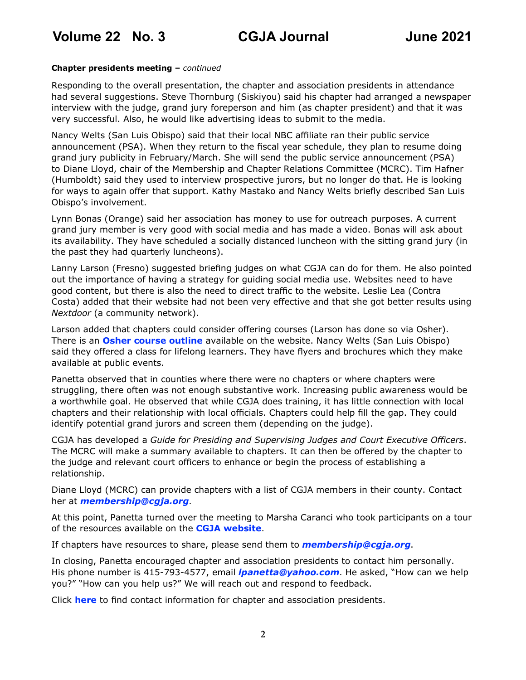#### **Chapter presidents meeting –** *continued*

Responding to the overall presentation, the chapter and association presidents in attendance had several suggestions. Steve Thornburg (Siskiyou) said his chapter had arranged a newspaper interview with the judge, grand jury foreperson and him (as chapter president) and that it was very successful. Also, he would like advertising ideas to submit to the media.

Nancy Welts (San Luis Obispo) said that their local NBC affiliate ran their public service announcement (PSA). When they return to the fiscal year schedule, they plan to resume doing grand jury publicity in February/March. She will send the public service announcement (PSA) to Diane Lloyd, chair of the Membership and Chapter Relations Committee (MCRC). Tim Hafner (Humboldt) said they used to interview prospective jurors, but no longer do that. He is looking for ways to again offer that support. Kathy Mastako and Nancy Welts briefly described San Luis Obispo's involvement.

Lynn Bonas (Orange) said her association has money to use for outreach purposes. A current grand jury member is very good with social media and has made a video. Bonas will ask about its availability. They have scheduled a socially distanced luncheon with the sitting grand jury (in the past they had quarterly luncheons).

Lanny Larson (Fresno) suggested briefing judges on what CGJA can do for them. He also pointed out the importance of having a strategy for guiding social media use. Websites need to have good content, but there is also the need to direct traffic to the website. Leslie Lea (Contra Costa) added that their website had not been very effective and that she got better results using *Nextdoor* (a community network).

Larson added that chapters could consider offering courses (Larson has done so via Osher). There is an **[Osher course outline](https://cgja.org/osher-courses)** available on the website. Nancy Welts (San Luis Obispo) said they offered a class for lifelong learners. They have flyers and brochures which they make available at public events.

Panetta observed that in counties where there were no chapters or where chapters were struggling, there often was not enough substantive work. Increasing public awareness would be a worthwhile goal. He observed that while CGJA does training, it has little connection with local chapters and their relationship with local officials. Chapters could help fill the gap. They could identify potential grand jurors and screen them (depending on the judge).

CGJA has developed a *Guide for Presiding and Supervising Judges and Court Executive Officers*. The MCRC will make a summary available to chapters. It can then be offered by the chapter to the judge and relevant court officers to enhance or begin the process of establishing a relationship.

Diane Lloyd (MCRC) can provide chapters with a list of CGJA members in their county. Contact her at *[membership@cgja.org](mailto:membership%40cgja.org?subject=CGJA%20member%20list)*.

At this point, Panetta turned over the meeting to Marsha Caranci who took participants on a tour of the resources available on the **[CGJA website](https://cgja.org/)**.

If chapters have resources to share, please send them to *[membership@cgja.org](mailto:membership%40cgja.org?subject=chapter%20resources)*.

In closing, Panetta encouraged chapter and association presidents to contact him personally. His phone number is 415-793-4577, email *[lpanetta@yahoo.com](mailto:lpanetta%40yahoo.com?subject=CGJA%20chapter%20contact)*. He asked, "How can we help you?" "How can you help us?" We will reach out and respond to feedback.

Click **[here](https://cgja.org/chapters-and-associations)** to find contact information for chapter and association presidents.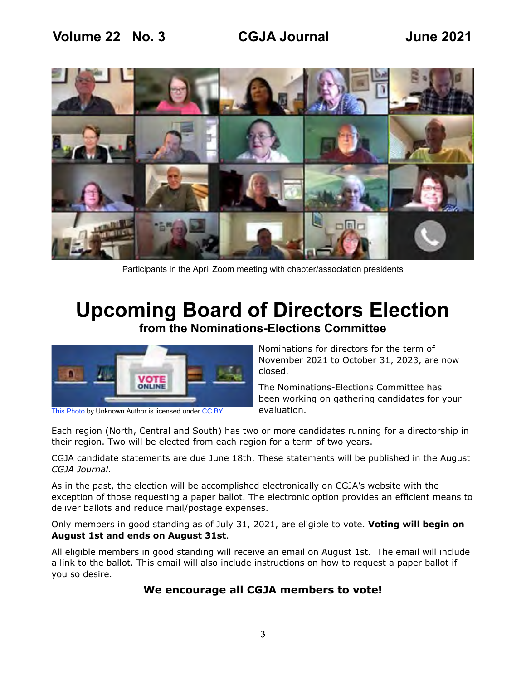<span id="page-2-0"></span>

Participants in the April Zoom meeting with chapter/association presidents

### **Upcoming Board of Directors Election from the Nominations-Elections Committee**



[This Photo b](https://communityblog.fedoraproject.org/fedora-32-elections-nominations-now-open/)y Unknown Author is licensed under [CC BY](https://creativecommons.org/licenses/by/3.0/)

Nominations for directors for the term of November 2021 to October 31, 2023, are now closed.

The Nominations-Elections Committee has been working on gathering candidates for your evaluation.

Each region (North, Central and South) has two or more candidates running for a directorship in their region. Two will be elected from each region for a term of two years.

CGJA candidate statements are due June 18th. These statements will be published in the August *CGJA Journal*.

As in the past, the election will be accomplished electronically on CGJA's website with the exception of those requesting a paper ballot. The electronic option provides an efficient means to deliver ballots and reduce mail/postage expenses.

Only members in good standing as of July 31, 2021, are eligible to vote. **Voting will begin on August 1st and ends on August 31st**.

All eligible members in good standing will receive an email on August 1st. The email will include a link to the ballot. This email will also include instructions on how to request a paper ballot if you so desire.

#### **We encourage all CGJA members to vote!**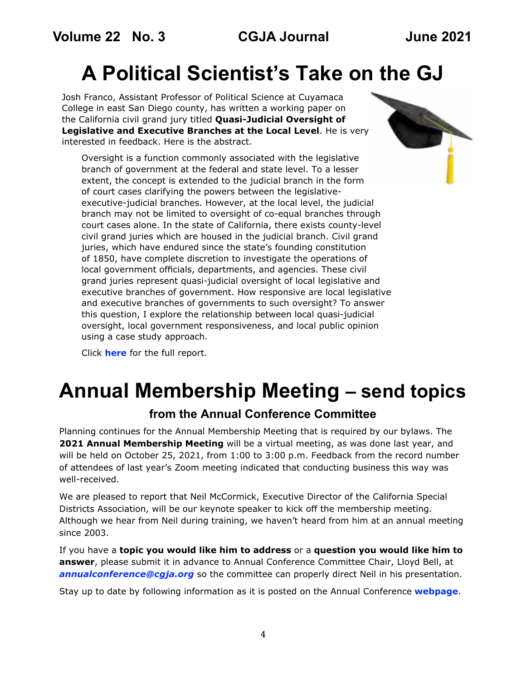## <span id="page-3-0"></span>**A Political Scientist's Take on the GJ**

Josh Franco, Assistant Professor of Political Science at Cuyamaca College in east San Diego county, has written a working paper on the California civil grand jury titled **Quasi-Judicial Oversight of Legislative and Executive Branches at the Local Level**. He is very interested in feedback. Here is the abstract.

Oversight is a function commonly associated with the legislative branch of government at the federal and state level. To a lesser extent, the concept is extended to the judicial branch in the form of court cases clarifying the powers between the legislativeexecutive-judicial branches. However, at the local level, the judicial branch may not be limited to oversight of co-equal branches through court cases alone. In the state of California, there exists county-level civil grand juries which are housed in the judicial branch. Civil grand juries, which have endured since the state's founding constitution of 1850, have complete discretion to investigate the operations of local government officials, departments, and agencies. These civil grand juries represent quasi-judicial oversight of local legislative and executive branches of government. How responsive are local legislative and executive branches of governments to such oversight? To answer this question, I explore the relationship between local quasi-judicial oversight, local government responsiveness, and local public opinion using a case study approach.

Click **[here](https://preprints.apsanet.org/engage/api-gateway/apsa/assets/orp/resource/item/5f4a01c887665500126a6f23/original/quasi-judicial-oversight-of-legislative-and-executive-branches-at-the-local-level.pdf)** for the full report.

### **Annual Membership Meeting – send topics**

#### **from the Annual Conference Committee**

Planning continues for the Annual Membership Meeting that is required by our bylaws. The **2021 Annual Membership Meeting** will be a virtual meeting, as was done last year, and will be held on October 25, 2021, from 1:00 to 3:00 p.m. Feedback from the record number of attendees of last year's Zoom meeting indicated that conducting business this way was well-received.

We are pleased to report that Neil McCormick, Executive Director of the California Special Districts Association, will be our keynote speaker to kick off the membership meeting. Although we hear from Neil during training, we haven't heard from him at an annual meeting since 2003.

If you have a **topic you would like him to address** or a **question you would like him to answer**, please submit it in advance to Annual Conference Committee Chair, Lloyd Bell, at *[annualconference@cgja.org](mailto:annualconference%40cgja.org?subject=CGJA%20membership%20meeting)* so the committee can properly direct Neil in his presentation.

Stay up to date by following information as it is posted on the Annual Conference **[webpage](https://cgja.org/annual-conference)**.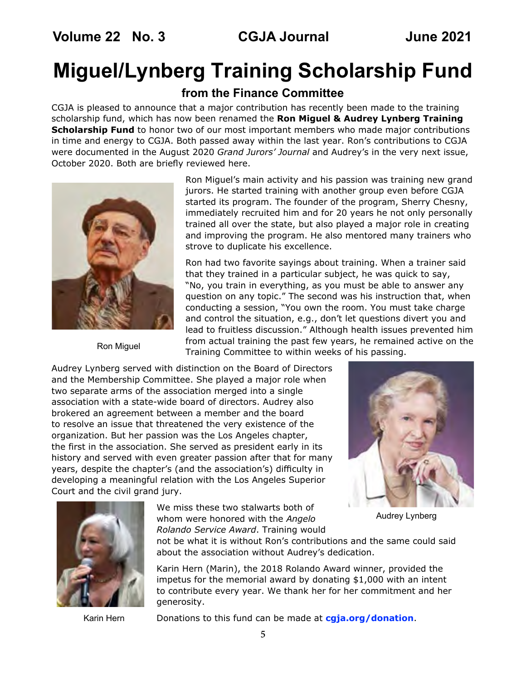### <span id="page-4-0"></span>**Miguel/Lynberg Training Scholarship Fund**

**from the Finance Committee**

CGJA is pleased to announce that a major contribution has recently been made to the training scholarship fund, which has now been renamed the **Ron Miguel & Audrey Lynberg Training Scholarship Fund** to honor two of our most important members who made major contributions in time and energy to CGJA. Both passed away within the last year. Ron's contributions to CGJA were documented in the August 2020 *Grand Jurors' Journal* and Audrey's in the very next issue, October 2020. Both are briefly reviewed here.



Ron Miguel

Ron Miguel's main activity and his passion was training new grand jurors. He started training with another group even before CGJA started its program. The founder of the program, Sherry Chesny, immediately recruited him and for 20 years he not only personally trained all over the state, but also played a major role in creating and improving the program. He also mentored many trainers who strove to duplicate his excellence.

Ron had two favorite sayings about training. When a trainer said that they trained in a particular subject, he was quick to say, "No, you train in everything, as you must be able to answer any question on any topic." The second was his instruction that, when conducting a session, "You own the room. You must take charge and control the situation, e.g., don't let questions divert you and lead to fruitless discussion." Although health issues prevented him from actual training the past few years, he remained active on the Training Committee to within weeks of his passing.

Audrey Lynberg served with distinction on the Board of Directors and the Membership Committee. She played a major role when two separate arms of the association merged into a single association with a state-wide board of directors. Audrey also brokered an agreement between a member and the board to resolve an issue that threatened the very existence of the organization. But her passion was the Los Angeles chapter, the first in the association. She served as president early in its history and served with even greater passion after that for many years, despite the chapter's (and the association's) difficulty in developing a meaningful relation with the Los Angeles Superior Court and the civil grand jury.





We miss these two stalwarts both of whom were honored with the *Angelo Rolando Service Award*. Training would

Audrey Lynberg

not be what it is without Ron's contributions and the same could said about the association without Audrey's dedication.

Karin Hern (Marin), the 2018 Rolando Award winner, provided the impetus for the memorial award by donating \$1,000 with an intent to contribute every year. We thank her for her commitment and her generosity.

Karin Hern

Donations to this fund can be made at **[cgja.org/donation](https://cgja.org/donation)**.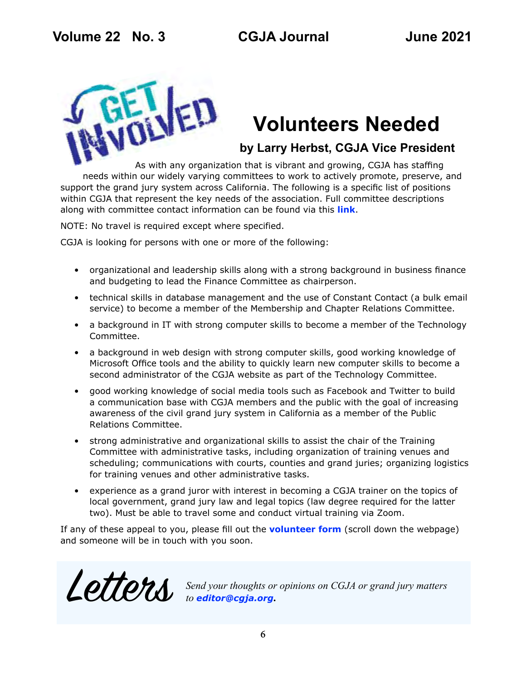<span id="page-5-0"></span>

## **Volunteers Needed**

**by Larry Herbst, CGJA Vice President** 

As with any organization that is vibrant and growing, CGJA has staffing needs within our widely varying committees to work to actively promote, preserve, and support the grand jury system across California. The following is a specific list of positions within CGJA that represent the key needs of the association. Full committee descriptions along with committee contact information can be found via this **[link](https://www.cgja.org/form/volunteer-information-and-sign-form)**.

NOTE: No travel is required except where specified.

CGJA is looking for persons with one or more of the following:

- organizational and leadership skills along with a strong background in business finance and budgeting to lead the Finance Committee as chairperson.
- technical skills in database management and the use of Constant Contact (a bulk email service) to become a member of the Membership and Chapter Relations Committee.
- a background in IT with strong computer skills to become a member of the Technology Committee.
- a background in web design with strong computer skills, good working knowledge of Microsoft Office tools and the ability to quickly learn new computer skills to become a second administrator of the CGJA website as part of the Technology Committee.
- good working knowledge of social media tools such as Facebook and Twitter to build a communication base with CGJA members and the public with the goal of increasing awareness of the civil grand jury system in California as a member of the Public Relations Committee.
- strong administrative and organizational skills to assist the chair of the Training Committee with administrative tasks, including organization of training venues and scheduling; communications with courts, counties and grand juries; organizing logistics for training venues and other administrative tasks.
- experience as a grand juror with interest in becoming a CGJA trainer on the topics of local government, grand jury law and legal topics (law degree required for the latter two). Must be able to travel some and conduct virtual training via Zoom.

If any of these appeal to you, please fill out the **[volunteer form](https://www.cgja.org/form/volunteer-information-and-sign-form)** (scroll down the webpage) and someone will be in touch with you soon.



Letters *Send your thoughts or opinions on CGJA or grand jury matters to editor@cgja.org***.**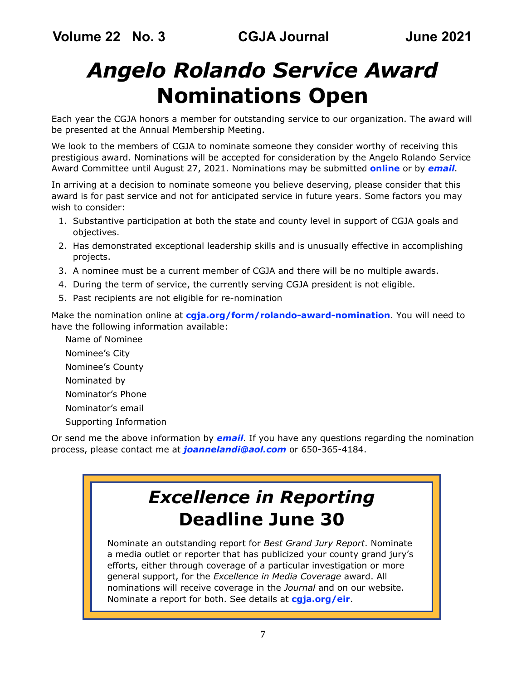## <span id="page-6-0"></span>*Angelo Rolando Service Award* **Nominations Open**

Each year the CGJA honors a member for outstanding service to our organization. The award will be presented at the Annual Membership Meeting.

We look to the members of CGJA to nominate someone they consider worthy of receiving this prestigious award. Nominations will be accepted for consideration by the Angelo Rolando Service Award Committee until August 27, 2021. Nominations may be submitted **[online](https://cgja.org/form/rolando-award-nomination)** or by *[email](mailto:joannelandi%40aol.com?subject=CGJA%20ARSA)*.

In arriving at a decision to nominate someone you believe deserving, please consider that this award is for past service and not for anticipated service in future years. Some factors you may wish to consider:

- 1. Substantive participation at both the state and county level in support of CGJA goals and objectives.
- 2. Has demonstrated exceptional leadership skills and is unusually effective in accomplishing projects.
- 3. A nominee must be a current member of CGJA and there will be no multiple awards.
- 4. During the term of service, the currently serving CGJA president is not eligible.
- 5. Past recipients are not eligible for re-nomination

Make the nomination online at **[cgja.org/form/rolando-award-nomination](https://cgja.org/form/rolando-award-nomination)**. You will need to have the following information available:

Name of Nominee Nominee's City Nominee's County Nominated by Nominator's Phone Nominator's email Supporting Information

Or send me the above information by *[email](mailto:joannelandi%40aol.com?subject=CGJA%20ARSA)*. If you have any questions regarding the nomination process, please contact me at *[joannelandi@aol.com](mailto:joannelandi%40aol.com?subject=ARSA%20nomination)* or 650-365-4184.

### *Excellence in Reporting* **Deadline June 30**

Nominate an outstanding report for *Best Grand Jury Report*. Nominate a media outlet or reporter that has publicized your county grand jury's efforts, either through coverage of a particular investigation or more general support, for the *Excellence in Media Coverage* award. All nominations will receive coverage in the *Journal* and on our website. Nominate a report for both. See details at **[cgja.org/eir](https://cgja.org/excellence-reporting-award)**.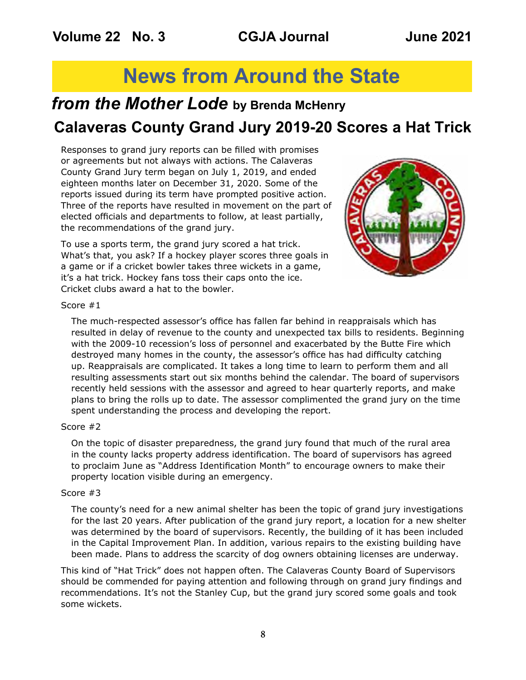### **News from Around the State**

### <span id="page-7-0"></span>*from the Mother Lode* **by Brenda McHenry Calaveras County Grand Jury 2019-20 Scores a Hat Trick**

Responses to grand jury reports can be filled with promises or agreements but not always with actions. The Calaveras County Grand Jury term began on July 1, 2019, and ended eighteen months later on December 31, 2020. Some of the reports issued during its term have prompted positive action. Three of the reports have resulted in movement on the part of elected officials and departments to follow, at least partially, the recommendations of the grand jury.

To use a sports term, the grand jury scored a hat trick. What's that, you ask? If a hockey player scores three goals in a game or if a cricket bowler takes three wickets in a game, it's a hat trick. Hockey fans toss their caps onto the ice. Cricket clubs award a hat to the bowler.



#### Score #1

The much-respected assessor's office has fallen far behind in reappraisals which has resulted in delay of revenue to the county and unexpected tax bills to residents. Beginning with the 2009-10 recession's loss of personnel and exacerbated by the Butte Fire which destroyed many homes in the county, the assessor's office has had difficulty catching up. Reappraisals are complicated. It takes a long time to learn to perform them and all resulting assessments start out six months behind the calendar. The board of supervisors recently held sessions with the assessor and agreed to hear quarterly reports, and make plans to bring the rolls up to date. The assessor complimented the grand jury on the time spent understanding the process and developing the report.

#### Score #2

On the topic of disaster preparedness, the grand jury found that much of the rural area in the county lacks property address identification. The board of supervisors has agreed to proclaim June as "Address Identification Month" to encourage owners to make their property location visible during an emergency.

#### Score #3

The county's need for a new animal shelter has been the topic of grand jury investigations for the last 20 years. After publication of the grand jury report, a location for a new shelter was determined by the board of supervisors. Recently, the building of it has been included in the Capital Improvement Plan. In addition, various repairs to the existing building have been made. Plans to address the scarcity of dog owners obtaining licenses are underway.

This kind of "Hat Trick" does not happen often. The Calaveras County Board of Supervisors should be commended for paying attention and following through on grand jury findings and recommendations. It's not the Stanley Cup, but the grand jury scored some goals and took some wickets.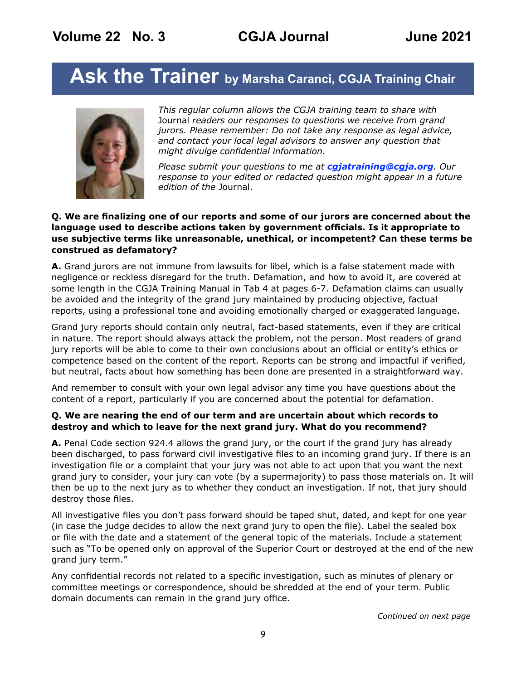## <span id="page-8-0"></span>Ask the Trainer by Marsha Caranci, CGJA Training Chair



*This regular column allows the CGJA training team to share with*  Journal *readers our responses to questions we receive from grand jurors. Please remember: Do not take any response as legal advice, and contact your local legal advisors to answer any question that might divulge confidential information.* 

*Please submit your questions to me at [cgjatraining@cgja.org](mailto:cgjatraining%40cgja.org?subject=CGJA%20Training). Our response to your edited or redacted question might appear in a future edition of the* Journal.

#### **Q. We are finalizing one of our reports and some of our jurors are concerned about the language used to describe actions taken by government officials. Is it appropriate to use subjective terms like unreasonable, unethical, or incompetent? Can these terms be construed as defamatory?**

**A.** Grand jurors are not immune from lawsuits for libel, which is a false statement made with negligence or reckless disregard for the truth. Defamation, and how to avoid it, are covered at some length in the CGJA Training Manual in Tab 4 at pages 6-7. Defamation claims can usually be avoided and the integrity of the grand jury maintained by producing objective, factual reports, using a professional tone and avoiding emotionally charged or exaggerated language.

Grand jury reports should contain only neutral, fact-based statements, even if they are critical in nature. The report should always attack the problem, not the person. Most readers of grand jury reports will be able to come to their own conclusions about an official or entity's ethics or competence based on the content of the report. Reports can be strong and impactful if verified, but neutral, facts about how something has been done are presented in a straightforward way.

And remember to consult with your own legal advisor any time you have questions about the content of a report, particularly if you are concerned about the potential for defamation.

#### **Q. We are nearing the end of our term and are uncertain about which records to destroy and which to leave for the next grand jury. What do you recommend?**

**A.** Penal Code section 924.4 allows the grand jury, or the court if the grand jury has already been discharged, to pass forward civil investigative files to an incoming grand jury. If there is an investigation file or a complaint that your jury was not able to act upon that you want the next grand jury to consider, your jury can vote (by a supermajority) to pass those materials on. It will then be up to the next jury as to whether they conduct an investigation. If not, that jury should destroy those files.

All investigative files you don't pass forward should be taped shut, dated, and kept for one year (in case the judge decides to allow the next grand jury to open the file). Label the sealed box or file with the date and a statement of the general topic of the materials. Include a statement such as "To be opened only on approval of the Superior Court or destroyed at the end of the new grand jury term."

Any confidential records not related to a specific investigation, such as minutes of plenary or committee meetings or correspondence, should be shredded at the end of your term. Public domain documents can remain in the grand jury office.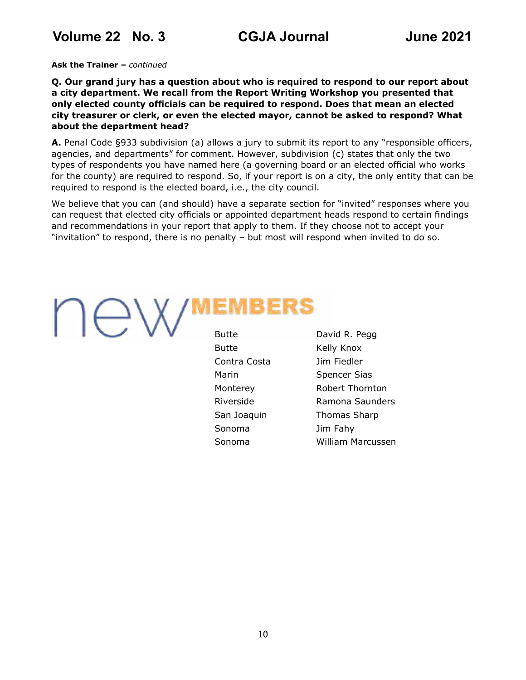<span id="page-9-0"></span>**Volume 22 No. 3 CGJA Journal June 2021**

**Ask the Trainer –** *continued*

**Q. Our grand jury has a question about who is required to respond to our report about a city department. We recall from the Report Writing Workshop you presented that only elected county officials can be required to respond. Does that mean an elected city treasurer or clerk, or even the elected mayor, cannot be asked to respond? What about the department head?**

**A.** Penal Code §933 subdivision (a) allows a jury to submit its report to any "responsible officers, agencies, and departments" for comment. However, subdivision (c) states that only the two types of respondents you have named here (a governing board or an elected official who works for the county) are required to respond. So, if your report is on a city, the only entity that can be required to respond is the elected board, i.e., the city council.

We believe that you can (and should) have a separate section for "invited" responses where you can request that elected city officials or appointed department heads respond to certain findings and recommendations in your report that apply to them. If they choose not to accept your "invitation" to respond, there is no penalty – but most will respond when invited to do so.

# AW) Butte

|   | . .               |                   |  |
|---|-------------------|-------------------|--|
| × | <b>STATISTICS</b> | <b>STATISTICS</b> |  |
|   |                   |                   |  |

| Butte        | David R. Pegg       |
|--------------|---------------------|
| Butte        | Kelly Knox          |
| Contra Costa | Jim Fiedler         |
| Marin        | <b>Spencer Sias</b> |
| Monterey     | Robert Thornton     |
| Riverside    | Ramona Saunders     |
| San Joaquin  | <b>Thomas Sharp</b> |
| Sonoma       | Jim Fahy            |
| Sonoma       | William Marcussen   |
|              |                     |